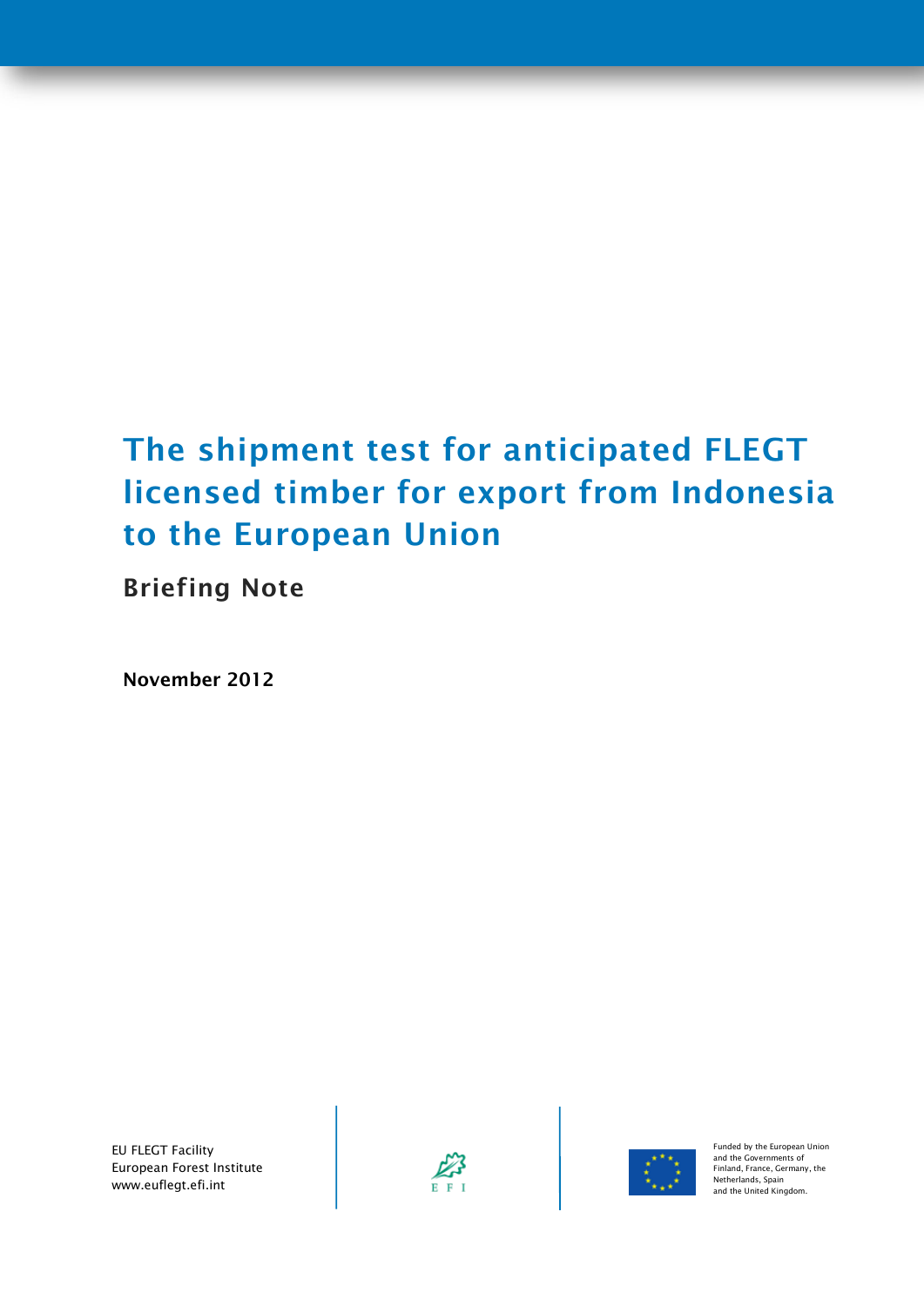# **The shipment test for anticipated FLEGT licensed timber for export from Indonesia to the European Union**

**Briefing Note**

**November 2012**

EU FLEGT Facility European Forest Institute www.euflegt.efi.int





Funded by the European Union and the Governments of Finland, France, Germany, the Netherlands, Spain and the United Kingdom.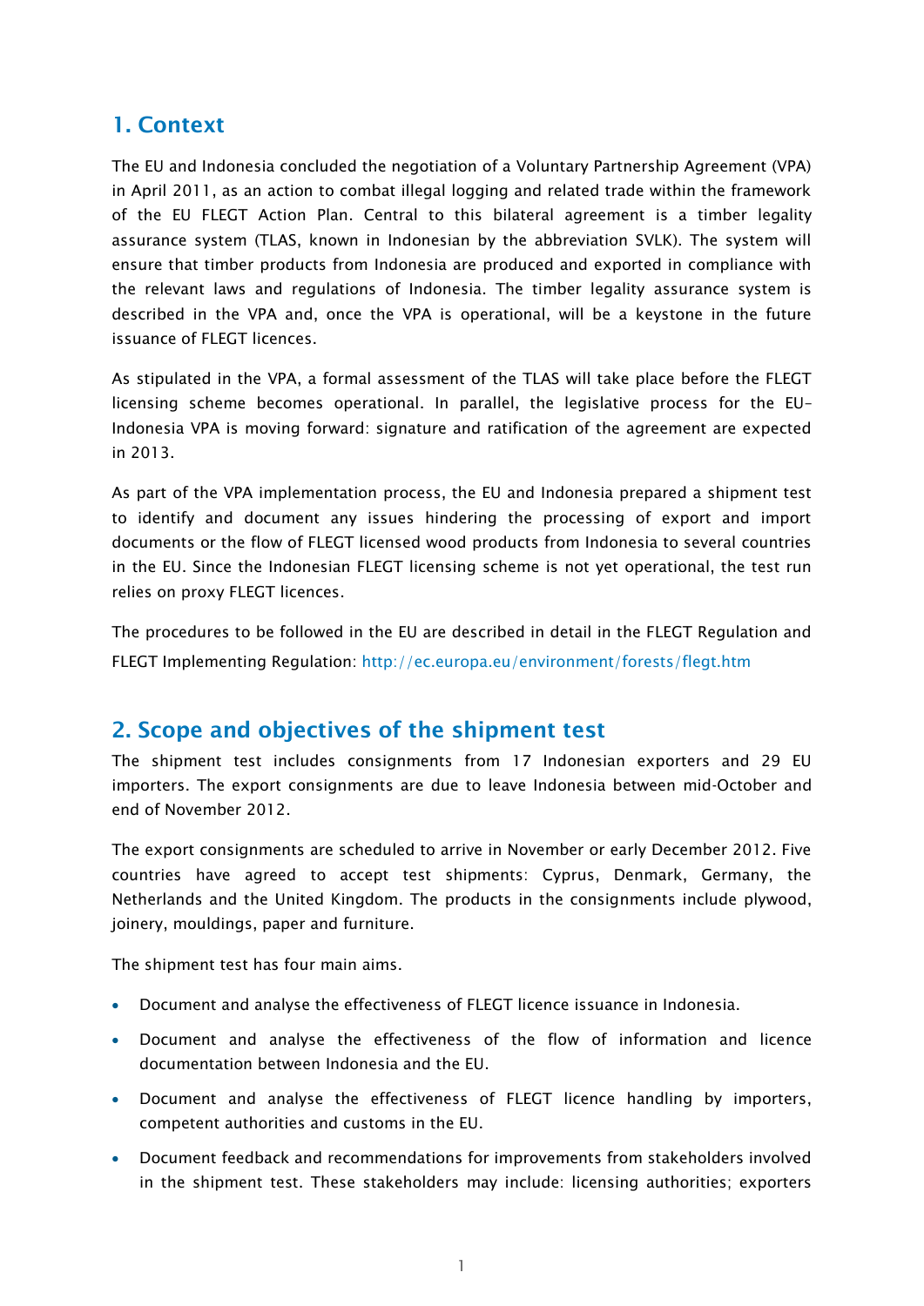#### **1. Context**

The EU and Indonesia concluded the negotiation of a Voluntary Partnership Agreement (VPA) in April 2011, as an action to combat illegal logging and related trade within the framework of the EU FLEGT Action Plan. Central to this bilateral agreement is a timber legality assurance system (TLAS, known in Indonesian by the abbreviation SVLK). The system will ensure that timber products from Indonesia are produced and exported in compliance with the relevant laws and regulations of Indonesia. The timber legality assurance system is described in the VPA and, once the VPA is operational, will be a keystone in the future issuance of FLEGT licences.

As stipulated in the VPA, a formal assessment of the TLAS will take place before the FLEGT licensing scheme becomes operational. In parallel, the legislative process for the EU– Indonesia VPA is moving forward: signature and ratification of the agreement are expected in 2013.

As part of the VPA implementation process, the EU and Indonesia prepared a shipment test to identify and document any issues hindering the processing of export and import documents or the flow of FLEGT licensed wood products from Indonesia to several countries in the EU. Since the Indonesian FLEGT licensing scheme is not yet operational, the test run relies on proxy FLEGT licences.

The procedures to be followed in the EU are described in detail in the FLEGT Regulation and FLEGT Implementing Regulation: <http://ec.europa.eu/environment/forests/flegt.htm>

## **2. Scope and objectives of the shipment test**

The shipment test includes consignments from 17 Indonesian exporters and 29 EU importers. The export consignments are due to leave Indonesia between mid-October and end of November 2012.

The export consignments are scheduled to arrive in November or early December 2012. Five countries have agreed to accept test shipments: Cyprus, Denmark, Germany, the Netherlands and the United Kingdom. The products in the consignments include plywood, joinery, mouldings, paper and furniture.

The shipment test has four main aims.

- Document and analyse the effectiveness of FLEGT licence issuance in Indonesia.
- Document and analyse the effectiveness of the flow of information and licence documentation between Indonesia and the EU.
- Document and analyse the effectiveness of FLEGT licence handling by importers, competent authorities and customs in the EU.
- Document feedback and recommendations for improvements from stakeholders involved in the shipment test. These stakeholders may include: licensing authorities; exporters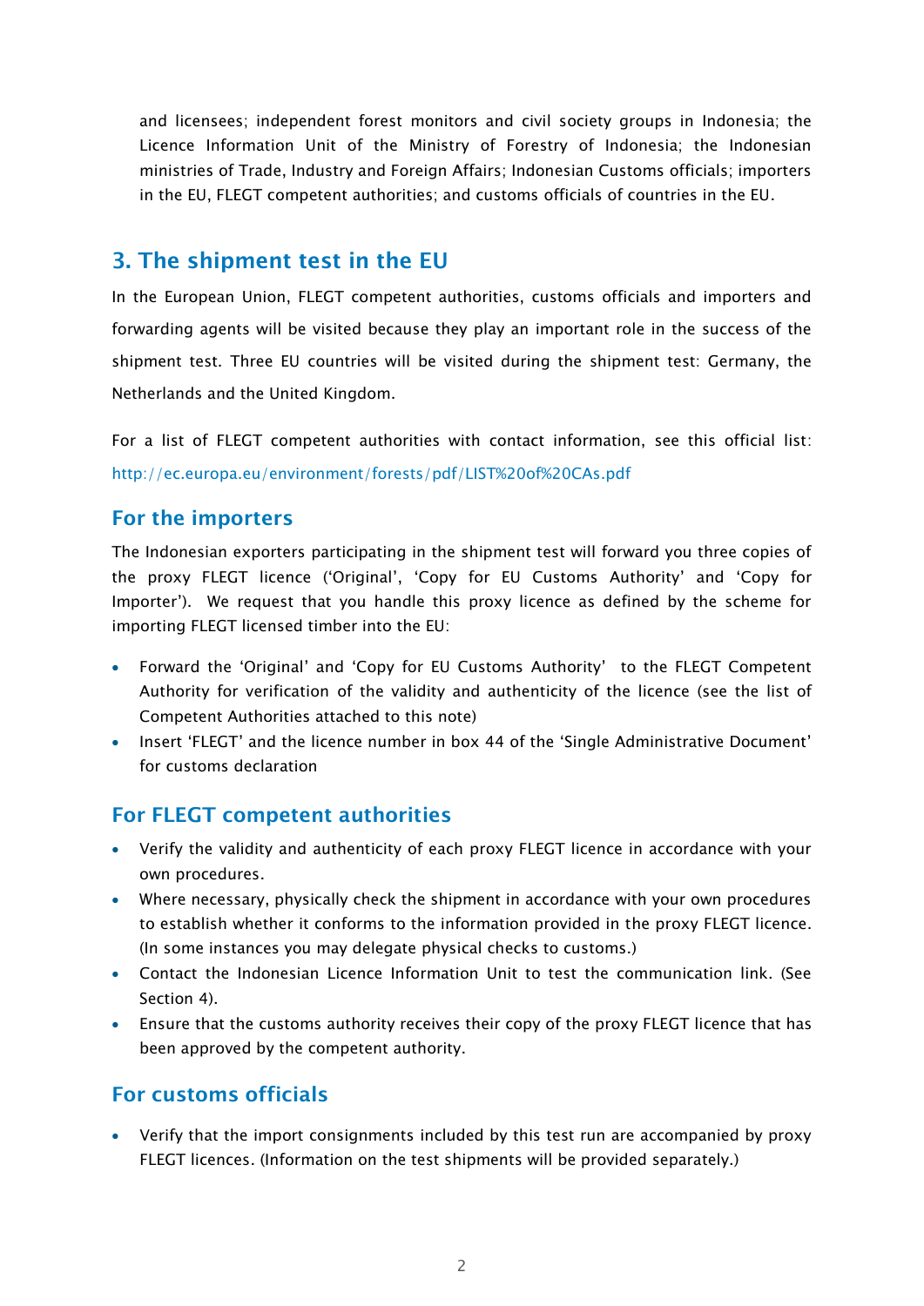and licensees; independent forest monitors and civil society groups in Indonesia; the Licence Information Unit of the Ministry of Forestry of Indonesia; the Indonesian ministries of Trade, Industry and Foreign Affairs; Indonesian Customs officials; importers in the EU, FLEGT competent authorities; and customs officials of countries in the EU.

## **3. The shipment test in the EU**

In the European Union, FLEGT competent authorities, customs officials and importers and forwarding agents will be visited because they play an important role in the success of the shipment test. Three EU countries will be visited during the shipment test: Germany, the Netherlands and the United Kingdom.

For a list of FLEGT competent authorities with contact information, see this official list: <http://ec.europa.eu/environment/forests/pdf/LIST%20of%20CAs.pdf>

#### **For the importers**

The Indonesian exporters participating in the shipment test will forward you three copies of the proxy FLEGT licence ('Original', 'Copy for EU Customs Authority' and 'Copy for Importer'). We request that you handle this proxy licence as defined by the scheme for importing FLEGT licensed timber into the EU:

- Forward the 'Original' and 'Copy for EU Customs Authority' to the FLEGT Competent Authority for verification of the validity and authenticity of the licence (see the list of Competent Authorities attached to this note)
- Insert 'FLEGT' and the licence number in box 44 of the 'Single Administrative Document' for customs declaration

## **For FLEGT competent authorities**

- Verify the validity and authenticity of each proxy FLEGT licence in accordance with your own procedures.
- Where necessary, physically check the shipment in accordance with your own procedures to establish whether it conforms to the information provided in the proxy FLEGT licence. (In some instances you may delegate physical checks to customs.)
- Contact the Indonesian Licence Information Unit to test the communication link. (See Section 4).
- Ensure that the customs authority receives their copy of the proxy FLEGT licence that has been approved by the competent authority.

## **For customs officials**

 Verify that the import consignments included by this test run are accompanied by proxy FLEGT licences. (Information on the test shipments will be provided separately.)